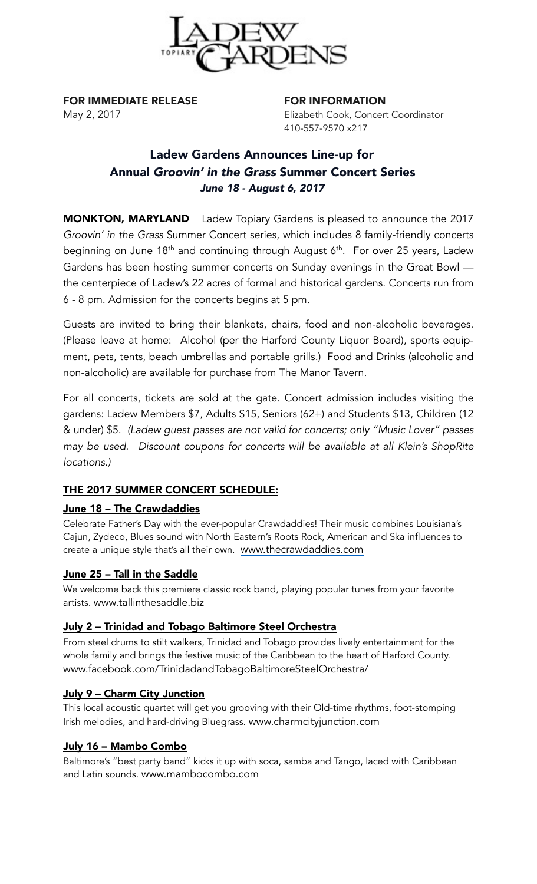

FOR IMMEDIATE RELEASE FOR INFORMATION

May 2, 2017 Elizabeth Cook, Concert Coordinator 410-557-9570 x217

# Ladew Gardens Announces Line-up for Annual *Groovin' in the Grass* Summer Concert Series *June 18 - August 6, 2017*

MONKTON, MARYLAND Ladew Topiary Gardens is pleased to announce the 2017 *Groovin' in the Grass* Summer Concert series, which includes 8 family-friendly concerts beginning on June 18<sup>th</sup> and continuing through August 6<sup>th</sup>. For over 25 years, Ladew Gardens has been hosting summer concerts on Sunday evenings in the Great Bowl the centerpiece of Ladew's 22 acres of formal and historical gardens. Concerts run from 6 - 8 pm. Admission for the concerts begins at 5 pm.

Guests are invited to bring their blankets, chairs, food and non-alcoholic beverages. (Please leave at home: Alcohol (per the Harford County Liquor Board), sports equipment, pets, tents, beach umbrellas and portable grills.) Food and Drinks (alcoholic and non-alcoholic) are available for purchase from The Manor Tavern.

For all concerts, tickets are sold at the gate. Concert admission includes visiting the gardens: Ladew Members \$7, Adults \$15, Seniors (62+) and Students \$13, Children (12 & under) \$5. *(Ladew guest passes are not valid for concerts; only "Music Lover" passes may be used. Discount coupons for concerts will be available at all Klein's ShopRite locations.)* 

# THE 2017 SUMMER CONCERT SCHEDULE:

# June 18 – The Crawdaddies

Celebrate Father's Day with the ever-popular Crawdaddies! Their music combines Louisiana's Cajun, Zydeco, Blues sound with North Eastern's Roots Rock, American and Ska influences to create a unique style that's all their own. [www.thecrawdaddies.com](http://www.thecrawdaddies.com)

#### June 25 – Tall in the Saddle

We welcome back this premiere classic rock band, playing popular tunes from your favorite artists. [www.tallinthesaddle.biz](http://www.tallinthesaddle.biz)

# July 2 – Trinidad and Tobago Baltimore Steel Orchestra

From steel drums to stilt walkers, Trinidad and Tobago provides lively entertainment for the whole family and brings the festive music of the Caribbean to the heart of Harford County. www.facebook.com/TrinidadandTobagoBaltimoreSteelOrchestra/

# July 9 – Charm City Junction

This local acoustic quartet will get you grooving with their Old-time rhythms, foot-stomping Irish melodies, and hard-driving Bluegrass. [www.charmcityjunction.com](http://www.charmcityjunction.com)

#### July 16 – Mambo Combo

Baltimore's "best party band" kicks it up with soca, samba and Tango, laced with Caribbean and Latin sounds. [www.mambocombo.com](http://www.mambocombo.com)